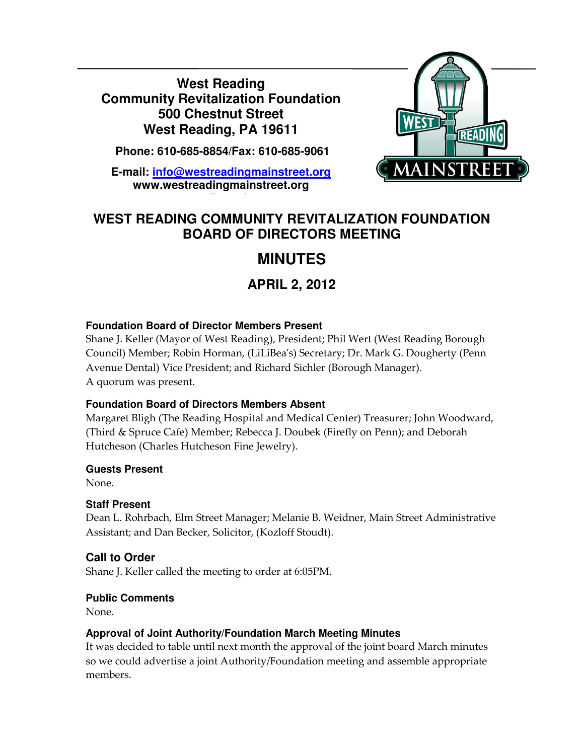**West Reading Community Revitalization Foundation 500 Chestnut Street West Reading, PA 19611** 

 **Phone: 610-685-8854/Fax: 610-685-9061** 

**E-mail: info@westreadingmainstreet.org www.westreadingmainstreet.org**

**www.westreadingmainstreet.org**



# **WEST READING COMMUNITY REVITALIZATION FOUNDATION BOARD OF DIRECTORS MEETING**

# **MINUTES**

# **APRIL 2, 2012**

## **Foundation Board of Director Members Present**

Shane J. Keller (Mayor of West Reading), President; Phil Wert (West Reading Borough Council) Member; Robin Horman, (LiLiBea's) Secretary; Dr. Mark G. Dougherty (Penn Avenue Dental) Vice President; and Richard Sichler (Borough Manager). A quorum was present.

## **Foundation Board of Directors Members Absent**

Margaret Bligh (The Reading Hospital and Medical Center) Treasurer; John Woodward, (Third & Spruce Cafe) Member; Rebecca J. Doubek (Firefly on Penn); and Deborah Hutcheson (Charles Hutcheson Fine Jewelry).

## **Guests Present**

None.

Ī

# **Staff Present**

Dean L. Rohrbach, Elm Street Manager; Melanie B. Weidner, Main Street Administrative Assistant; and Dan Becker, Solicitor, (Kozloff Stoudt).

# **Call to Order**

Shane J. Keller called the meeting to order at 6:05PM.

# **Public Comments**

None.

# **Approval of Joint Authority/Foundation March Meeting Minutes**

It was decided to table until next month the approval of the joint board March minutes so we could advertise a joint Authority/Foundation meeting and assemble appropriate members.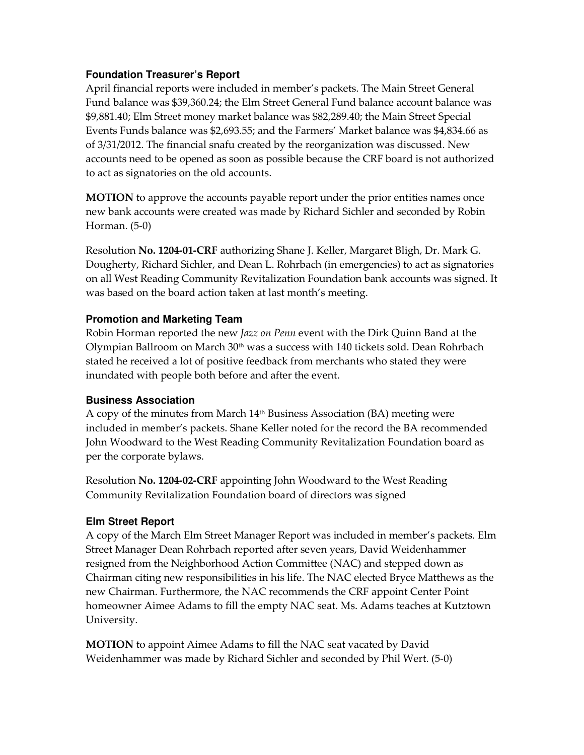#### **Foundation Treasurer's Report**

April financial reports were included in member's packets. The Main Street General Fund balance was \$39,360.24; the Elm Street General Fund balance account balance was \$9,881.40; Elm Street money market balance was \$82,289.40; the Main Street Special Events Funds balance was \$2,693.55; and the Farmers' Market balance was \$4,834.66 as of 3/31/2012. The financial snafu created by the reorganization was discussed. New accounts need to be opened as soon as possible because the CRF board is not authorized to act as signatories on the old accounts.

MOTION to approve the accounts payable report under the prior entities names once new bank accounts were created was made by Richard Sichler and seconded by Robin Horman. (5-0)

Resolution No. 1204-01-CRF authorizing Shane J. Keller, Margaret Bligh, Dr. Mark G. Dougherty, Richard Sichler, and Dean L. Rohrbach (in emergencies) to act as signatories on all West Reading Community Revitalization Foundation bank accounts was signed. It was based on the board action taken at last month's meeting.

#### **Promotion and Marketing Team**

Robin Horman reported the new *Jazz on Penn* event with the Dirk Quinn Band at the Olympian Ballroom on March  $30<sup>th</sup>$  was a success with 140 tickets sold. Dean Rohrbach stated he received a lot of positive feedback from merchants who stated they were inundated with people both before and after the event.

#### **Business Association**

A copy of the minutes from March 14<sup>th</sup> Business Association (BA) meeting were included in member's packets. Shane Keller noted for the record the BA recommended John Woodward to the West Reading Community Revitalization Foundation board as per the corporate bylaws.

Resolution No. 1204-02-CRF appointing John Woodward to the West Reading Community Revitalization Foundation board of directors was signed

## **Elm Street Report**

A copy of the March Elm Street Manager Report was included in member's packets. Elm Street Manager Dean Rohrbach reported after seven years, David Weidenhammer resigned from the Neighborhood Action Committee (NAC) and stepped down as Chairman citing new responsibilities in his life. The NAC elected Bryce Matthews as the new Chairman. Furthermore, the NAC recommends the CRF appoint Center Point homeowner Aimee Adams to fill the empty NAC seat. Ms. Adams teaches at Kutztown University.

MOTION to appoint Aimee Adams to fill the NAC seat vacated by David Weidenhammer was made by Richard Sichler and seconded by Phil Wert. (5-0)